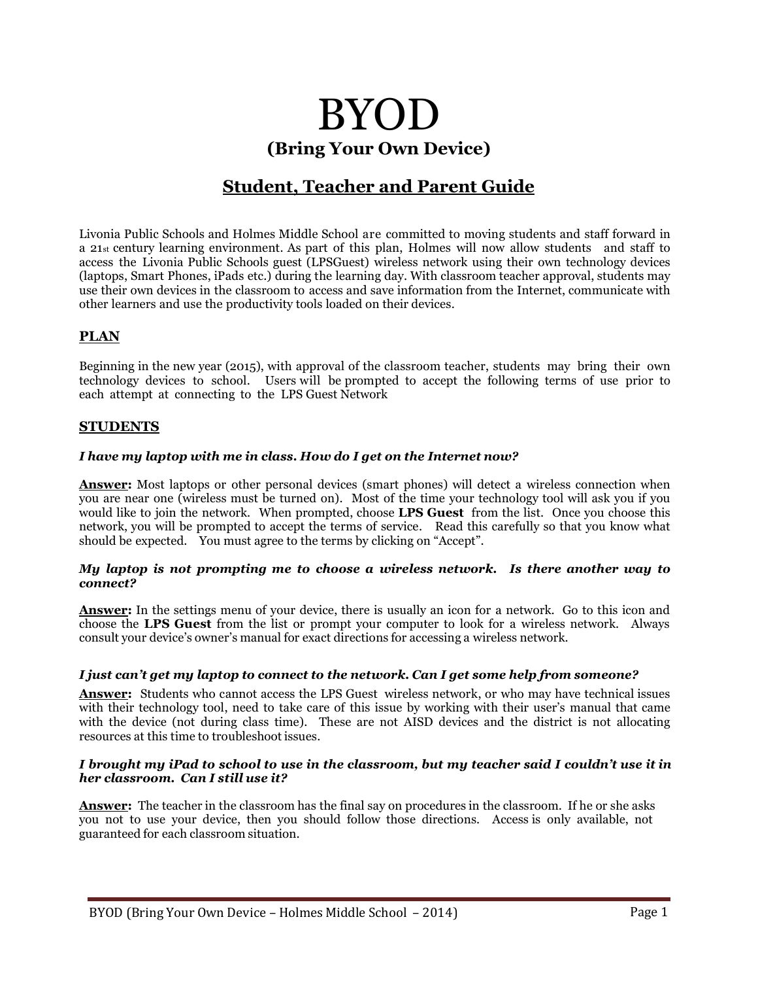# BYOD **(Bring Your Own Device)**

# **Student, Teacher and Parent Guide**

Livonia Public Schools and Holmes Middle School are committed to moving students and staff forward in a 21st century learning environment. As part of this plan, Holmes will now allow students and staff to access the Livonia Public Schools guest (LPSGuest) wireless network using their own technology devices (laptops, Smart Phones, iPads etc.) during the learning day. With classroom teacher approval, students may use their own devices in the classroom to access and save information from the Internet, communicate with other learners and use the productivity tools loaded on their devices.

# **PLAN**

Beginning in the new year (2015), with approval of the classroom teacher, students may bring their own technology devices to school. Users will be prompted to accept the following terms of use prior to each attempt at connecting to the LPS Guest Network

# **STUDENTS**

#### *I have my laptop with me in class. How do I get on the Internet now?*

**Answer:** Most laptops or other personal devices (smart phones) will detect a wireless connection when you are near one (wireless must be turned on). Most of the time your technology tool will ask you if you would like to join the network. When prompted, choose **LPS Guest** from the list. Once you choose this network, you will be prompted to accept the terms of service. Read this carefully so that you know what should be expected. You must agree to the terms by clicking on "Accept".

#### *My laptop is not prompting me to choose a wireless network. Is there another way to connect?*

**Answer:** In the settings menu of your device, there is usually an icon for a network. Go to this icon and choose the **LPS Guest** from the list or prompt your computer to look for a wireless network. Always consult your device's owner's manual for exact directions for accessing a wireless network.

#### *I just can't get my laptop to connect to the network. Can I get some help from someone?*

**Answer:** Students who cannot access the LPS Guest wireless network, or who may have technical issues with their technology tool, need to take care of this issue by working with their user's manual that came with the device (not during class time). These are not AISD devices and the district is not allocating resources at this time to troubleshoot issues.

#### I brought my iPad to school to use in the classroom, but my teacher said I couldn't use it in *her classroom. Can I still use it?*

**Answer:** The teacher in the classroom has the final say on procedures in the classroom. If he or she asks you not to use your device, then you should follow those directions. Access is only available, not guaranteed for each classroom situation.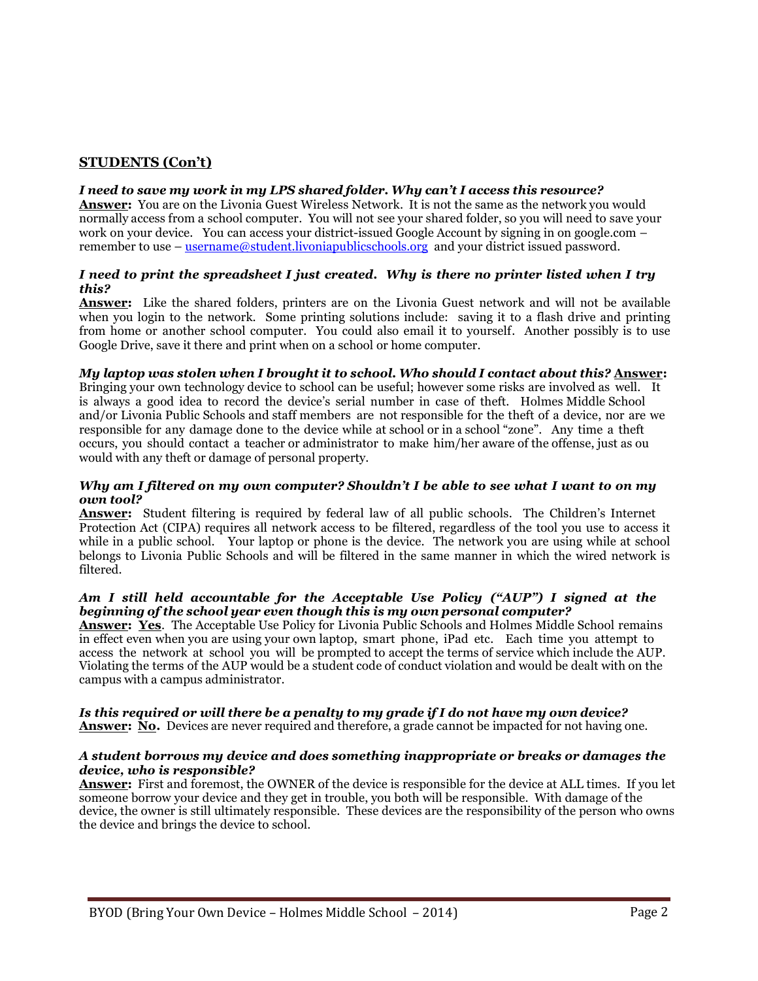# **STUDENTS (Con't)**

#### *I need to save my work in my LPS shared folder. Why can't I access this resource?*

**Answer:** You are on the Livonia Guest Wireless Network. It is not the same as the network you would normally access from a school computer. You will not see your shared folder, so you will need to save your work on your device. You can access your district-issued Google Account by signing in on google.com – remember to use – [username@student.livoniapublicschools.org](mailto:username@student.livoniapublicschools.org) and your district issued password.

#### *I need to print the spreadsheet I just created. Why is there no printer listed when I try this?*

**Answer:** Like the shared folders, printers are on the Livonia Guest network and will not be available when you login to the network. Some printing solutions include: saving it to a flash drive and printing from home or another school computer. You could also email it to yourself. Another possibly is to use Google Drive, save it there and print when on a school or home computer.

#### *My laptop was stolen when I brought it to school. Who should I contact about this?* **Answer:**

Bringing your own technology device to school can be useful; however some risks are involved as well. It is always a good idea to record the device's serial number in case of theft. Holmes Middle School and/or Livonia Public Schools and staff members are not responsible for the theft of a device, nor are we responsible for any damage done to the device while at school or in a school "zone". Any time a theft occurs, you should contact a teacher or administrator to make him/her aware of the offense, just as ou would with any theft or damage of personal property.

#### Why am I filtered on my own computer? Shouldn't I be able to see what I want to on my *own tool?*

**Answer:** Student filtering is required by federal law of all public schools. The Children's Internet Protection Act (CIPA) requires all network access to be filtered, regardless of the tool you use to access it while in a public school. Your laptop or phone is the device. The network you are using while at school belongs to Livonia Public Schools and will be filtered in the same manner in which the wired network is filtered.

#### *Am I still held accountable for the Acceptable Use Policy ("AUP") I signed at the beginning of the school year even though this is my own personal computer?*

**Answer: Yes**. The Acceptable Use Policy for Livonia Public Schools and Holmes Middle School remains in effect even when you are using your own laptop, smart phone, iPad etc. Each time you attempt to access the network at school you will be prompted to accept the terms of service which include the AUP. Violating the terms of the AUP would be a student code of conduct violation and would be dealt with on the campus with a campus administrator.

### *Is this required or will there be a penalty to my grade if I do not have my own device?*

**Answer: No.** Devices are never required and therefore, a grade cannot be impacted for not having one.

#### *A student borrows my device and does something inappropriate or breaks or damages the device, who is responsible?*

**Answer:** First and foremost, the OWNER of the device is responsible for the device at ALL times. If you let someone borrow your device and they get in trouble, you both will be responsible. With damage of the device, the owner is still ultimately responsible. These devices are the responsibility of the person who owns the device and brings the device to school.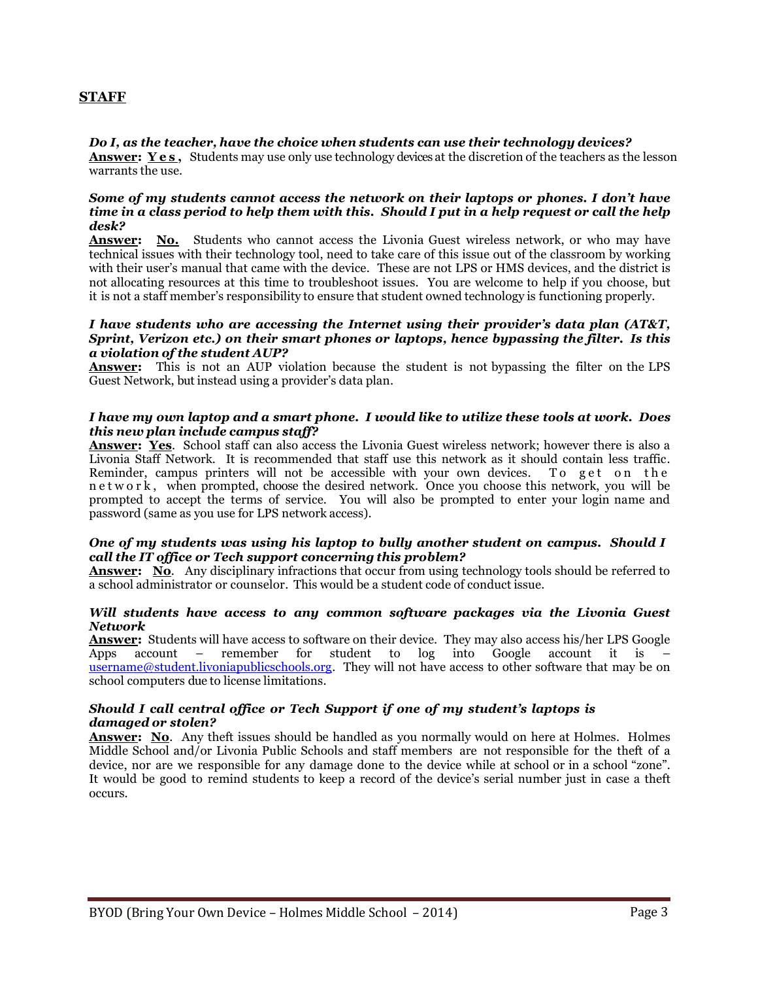# **STAFF**

#### *Do I, as the teacher, have the choice when students can use their technology devices?*

**Answer: Yes**, Students may use only use technology devices at the discretion of the teachers as the lesson warrants the use.

#### *Some of my students cannot access the network on their laptops or phones. I don't have time in a class period to help them with this. Should I put in a help request or call the help desk?*

**Answer: No.** Students who cannot access the Livonia Guest wireless network, or who may have technical issues with their technology tool, need to take care of this issue out of the classroom by working with their user's manual that came with the device. These are not LPS or HMS devices, and the district is not allocating resources at this time to troubleshoot issues. You are welcome to help if you choose, but it is not a staff member's responsibility to ensure that student owned technology is functioning properly.

#### *I have students who are accessing the Internet using their provider's data plan (AT&T, Sprint, Verizon etc.) on their smart phones or laptops, hence bypassing the filter. Is this a violation of the student AUP?*

**Answer:** This is not an AUP violation because the student is not bypassing the filter on the LPS Guest Network, but instead using a provider's data plan.

#### *I have my own laptop and a smart phone. I would like to utilize these tools at work. Does this new plan include campus staff?*

**Answer: Yes**. School staff can also access the Livonia Guest wireless network; however there is also a Livonia Staff Network. It is recommended that staff use this network as it should contain less traffic. Reminder, campus printers will not be accessible with your own devices. To get on the n e t w o r k, when prompted, choose the desired network. Once you choose this network, you will be prompted to accept the terms of service. You will also be prompted to enter your login name and password (same as you use for LPS network access).

#### *One of my students was using his laptop to bully another student on campus. Should I call the IT office or Tech support concerning this problem?*

**Answer: No**. Any disciplinary infractions that occur from using technology tools should be referred to a school administrator or counselor. This would be a student code of conduct issue.

#### *Will students have access to any common software packages via the Livonia Guest Network*

**Answer:** Students will have access to software on their device. They may also access his/her LPS Google Apps account – remember for student to log into Google account it is – [username@student.livoniapublicschools.org.](mailto:username@student.livoniapublicschools.org) They will not have access to other software that may be on school computers due to license limitations.

#### *Should I call central office or Tech Support if one of my student's laptops is damaged or stolen?*

**Answer: No**. Any theft issues should be handled as you normally would on here at Holmes. Holmes Middle School and/or Livonia Public Schools and staff members are not responsible for the theft of a device, nor are we responsible for any damage done to the device while at school or in a school "zone". It would be good to remind students to keep a record of the device's serial number just in case a theft occurs.